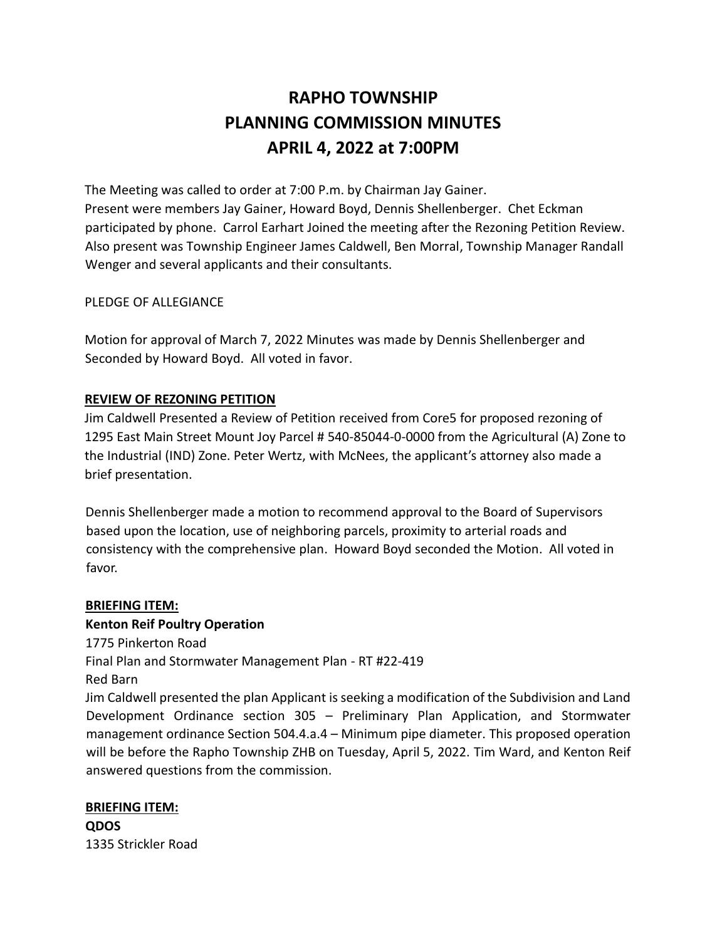# **RAPHO TOWNSHIP PLANNING COMMISSION MINUTES APRIL 4, 2022 at 7:00PM**

The Meeting was called to order at 7:00 P.m. by Chairman Jay Gainer. Present were members Jay Gainer, Howard Boyd, Dennis Shellenberger. Chet Eckman participated by phone. Carrol Earhart Joined the meeting after the Rezoning Petition Review. Also present was Township Engineer James Caldwell, Ben Morral, Township Manager Randall Wenger and several applicants and their consultants.

# PLEDGE OF ALLEGIANCE

Motion for approval of March 7, 2022 Minutes was made by Dennis Shellenberger and Seconded by Howard Boyd. All voted in favor.

## **REVIEW OF REZONING PETITION**

Jim Caldwell Presented a Review of Petition received from Core5 for proposed rezoning of 1295 East Main Street Mount Joy Parcel # 540-85044-0-0000 from the Agricultural (A) Zone to the Industrial (IND) Zone. Peter Wertz, with McNees, the applicant's attorney also made a brief presentation.

Dennis Shellenberger made a motion to recommend approval to the Board of Supervisors based upon the location, use of neighboring parcels, proximity to arterial roads and consistency with the comprehensive plan. Howard Boyd seconded the Motion. All voted in favor.

## **BRIEFING ITEM:**

# **Kenton Reif Poultry Operation**

1775 Pinkerton Road Final Plan and Stormwater Management Plan - RT #22-419

Red Barn

Jim Caldwell presented the plan Applicant is seeking a modification of the Subdivision and Land Development Ordinance section 305 – Preliminary Plan Application, and Stormwater management ordinance Section 504.4.a.4 – Minimum pipe diameter. This proposed operation will be before the Rapho Township ZHB on Tuesday, April 5, 2022. Tim Ward, and Kenton Reif answered questions from the commission.

**BRIEFING ITEM: QDOS** 1335 Strickler Road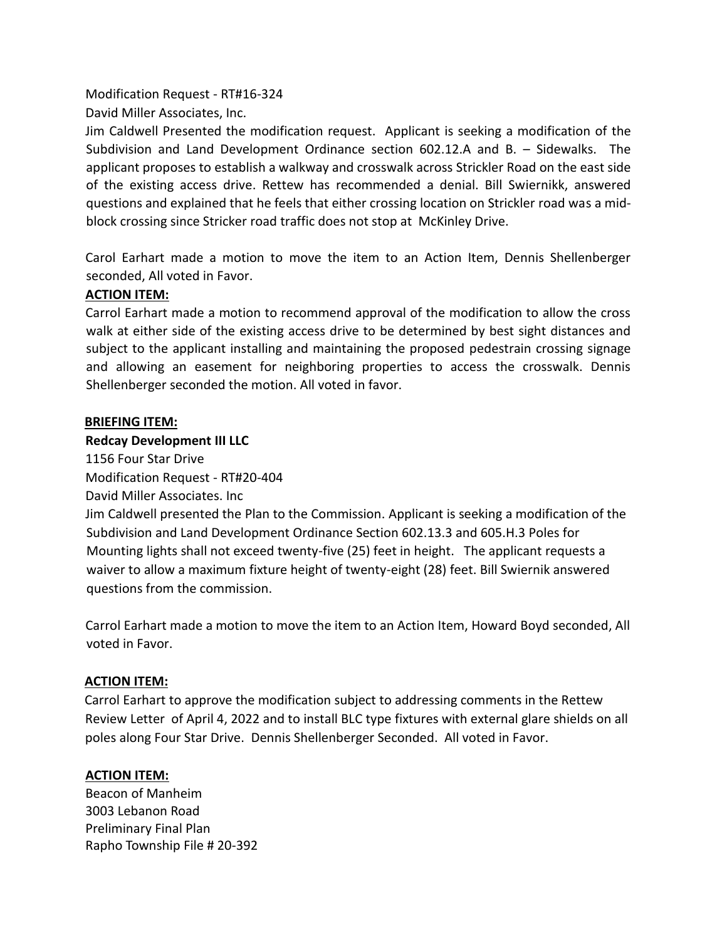Modification Request - RT#16-324

David Miller Associates, Inc.

Jim Caldwell Presented the modification request. Applicant is seeking a modification of the Subdivision and Land Development Ordinance section 602.12.A and B. – Sidewalks. The applicant proposes to establish a walkway and crosswalk across Strickler Road on the east side of the existing access drive. Rettew has recommended a denial. Bill Swiernikk, answered questions and explained that he feels that either crossing location on Strickler road was a midblock crossing since Stricker road traffic does not stop at McKinley Drive.

Carol Earhart made a motion to move the item to an Action Item, Dennis Shellenberger seconded, All voted in Favor.

# **ACTION ITEM:**

Carrol Earhart made a motion to recommend approval of the modification to allow the cross walk at either side of the existing access drive to be determined by best sight distances and subject to the applicant installing and maintaining the proposed pedestrain crossing signage and allowing an easement for neighboring properties to access the crosswalk. Dennis Shellenberger seconded the motion. All voted in favor.

# **BRIEFING ITEM:**

# **Redcay Development III LLC**

1156 Four Star Drive

Modification Request - RT#20-404

David Miller Associates. Inc

Jim Caldwell presented the Plan to the Commission. Applicant is seeking a modification of the Subdivision and Land Development Ordinance Section 602.13.3 and 605.H.3 Poles for Mounting lights shall not exceed twenty-five (25) feet in height. The applicant requests a waiver to allow a maximum fixture height of twenty-eight (28) feet. Bill Swiernik answered questions from the commission.

Carrol Earhart made a motion to move the item to an Action Item, Howard Boyd seconded, All voted in Favor.

# **ACTION ITEM:**

Carrol Earhart to approve the modification subject to addressing comments in the Rettew Review Letter of April 4, 2022 and to install BLC type fixtures with external glare shields on all poles along Four Star Drive. Dennis Shellenberger Seconded. All voted in Favor.

# **ACTION ITEM:**

Beacon of Manheim 3003 Lebanon Road Preliminary Final Plan Rapho Township File # 20-392